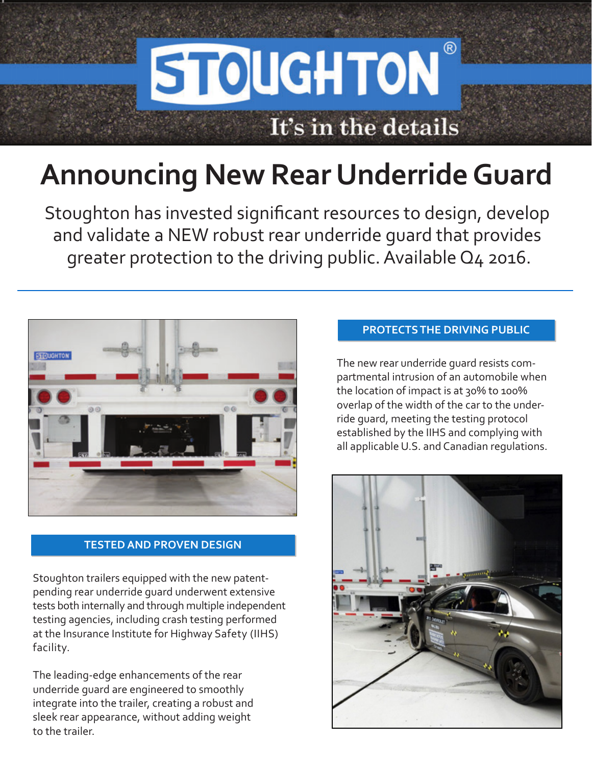## $\circledR$ **STOUGHTON** It's in the details

## **Announcing New Rear Underride Guard**

Stoughton has invested significant resources to design, develop and validate a NEW robust rear underride guard that provides greater protection to the driving public. Available Q4 2016.



#### **TESTED AND PROVEN DESIGN**

Stoughton trailers equipped with the new patentpending rear underride guard underwent extensive tests both internally and through multiple independent testing agencies, including crash testing performed at the Insurance Institute for Highway Safety (IIHS) facility.

The leading-edge enhancements of the rear underride guard are engineered to smoothly integrate into the trailer, creating a robust and sleek rear appearance, without adding weight to the trailer.

#### **PROTECTS THE DRIVING PUBLIC**

The new rear underride guard resists compartmental intrusion of an automobile when the location of impact is at 30% to 100% overlap of the width of the car to the underride guard, meeting the testing protocol established by the IIHS and complying with all applicable U.S. and Canadian regulations.